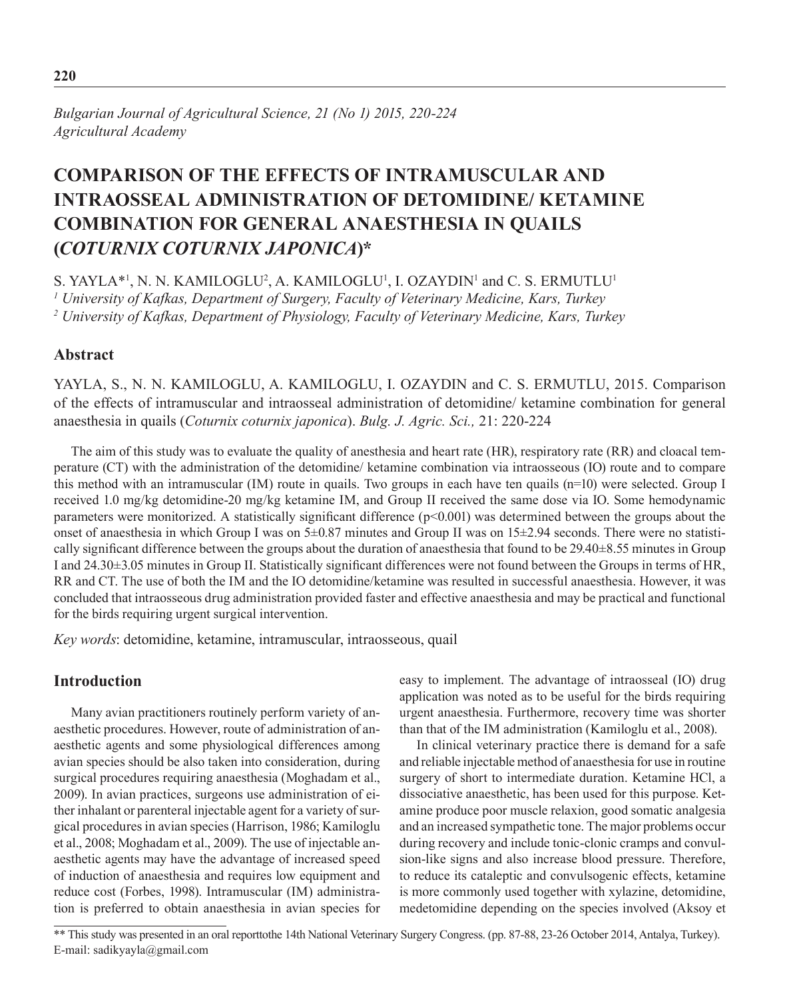*Bulgarian Journal of Agricultural Science, 21 (No 1) 2015, 220-224 Agricultural Academy*

# **Comparison of the Effects of Intramuscular and Intraosseal Administration of Detomidine/ Ketamine Combination for General Anaesthesia in Quails (***Coturnix coturnix japonica***)\***

S. YAYLA\*<sup>1</sup>, N. N. KAMILOGLU<sup>2</sup>, A. KAMILOGLU<sup>1</sup>, I. OZAYDIN<sup>1</sup> and C. S. ERMUTLU<sup>1</sup> *1 University of Kafkas, Department of Surgery, Faculty of Veterinary Medicine, Kars, Turkey 2 University of Kafkas, Department of Physiology, Faculty of Veterinary Medicine, Kars, Turkey*

# **Abstract**

YAYLA, S., N. N. KAMILOGLU, A. KAMILOGLU, I. OZAYDIN and C. S. ERMUTLU, 2015. Comparison of the effects of intramuscular and intraosseal administration of detomidine/ ketamine combination for general anaesthesia in quails (*Coturnix coturnix japonica*). *Bulg. J. Agric. Sci.,* 21: 220-224

The aim of this study was to evaluate the quality of anesthesia and heart rate (HR), respiratory rate (RR) and cloacal temperature (CT) with the administration of the detomidine/ ketamine combination via intraosseous (IO) route and to compare this method with an intramuscular (IM) route in quails. Two groups in each have ten quails (n=10) were selected. Group I received 1.0 mg/kg detomidine-20 mg/kg ketamine IM, and Group II received the same dose via IO. Some hemodynamic parameters were monitorized. A statistically significant difference  $(p<0.001)$  was determined between the groups about the onset of anaesthesia in which Group I was on 5±0.87 minutes and Group II was on 15±2.94 seconds. There were no statistically significant difference between the groups about the duration of anaesthesia that found to be 29.40±8.55 minutes in Group I and 24.30±3.05 minutes in Group II. Statistically significant differences were not found between the Groups in terms of HR, RR and CT. The use of both the IM and the IO detomidine/ketamine was resulted in successful anaesthesia. However, it was concluded that intraosseous drug administration provided faster and effective anaesthesia and may be practical and functional for the birds requiring urgent surgical intervention.

*Key words*: detomidine, ketamine, intramuscular, intraosseous, quail

# **Introduction**

Many avian practitioners routinely perform variety of anaesthetic procedures. However, route of administration of anaesthetic agents and some physiological differences among avian species should be also taken into consideration, during surgical procedures requiring anaesthesia (Moghadam et al., 2009). In avian practices, surgeons use administration of either inhalant or parenteral injectable agent for a variety of surgical procedures in avian species (Harrison, 1986; Kamiloglu et al., 2008; Moghadam et al., 2009). The use of injectable anaesthetic agents may have the advantage of increased speed of induction of anaesthesia and requires low equipment and reduce cost (Forbes, 1998). Intramuscular (IM) administration is preferred to obtain anaesthesia in avian species for easy to implement. The advantage of intraosseal (IO) drug application was noted as to be useful for the birds requiring urgent anaesthesia. Furthermore, recovery time was shorter than that of the IM administration (Kamiloglu et al., 2008).

In clinical veterinary practice there is demand for a safe and reliable injectable method of anaesthesia for use in routine surgery of short to intermediate duration. Ketamine HCl, a dissociative anaesthetic, has been used for this purpose. Ketamine produce poor muscle relaxion, good somatic analgesia and an increased sympathetic tone. The major problems occur during recovery and include tonic-clonic cramps and convulsion-like signs and also increase blood pressure. Therefore, to reduce its cataleptic and convulsogenic effects, ketamine is more commonly used together with xylazine, detomidine, medetomidine depending on the species involved (Aksoy et

\*\* This study was presented in an oral reporttothe 14th National Veterinary Surgery Congress. (pp. 87-88, 23-26 October 2014, Antalya, Turkey). E-mail: sadikyayla@gmail.com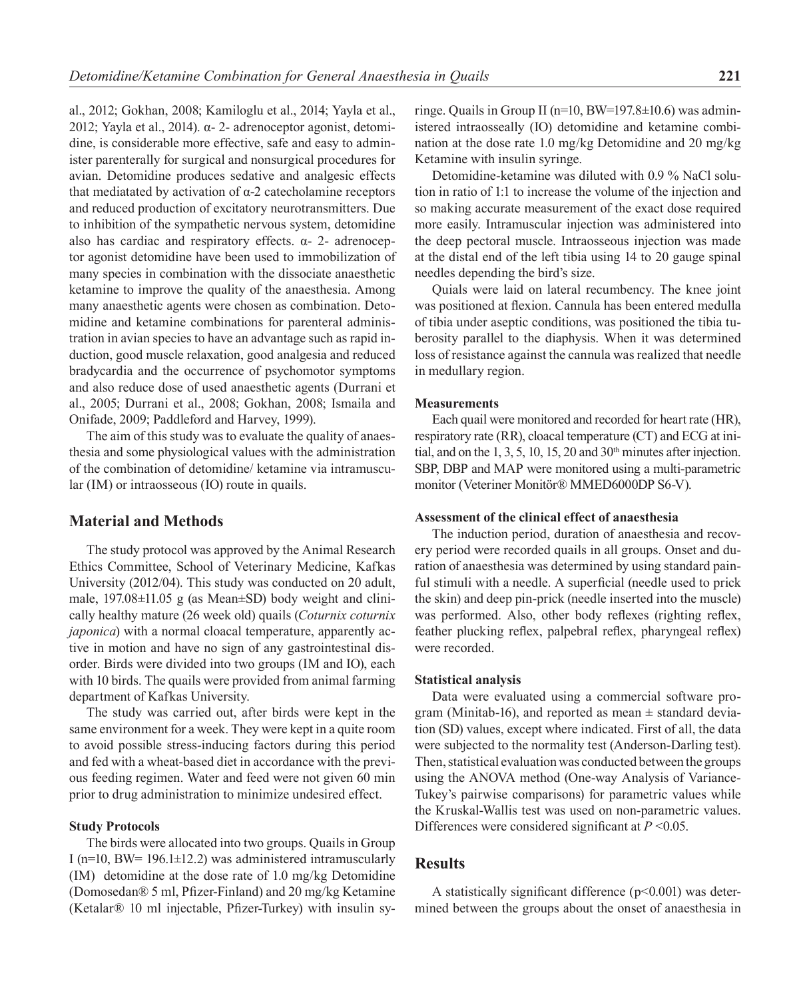al., 2012; Gokhan, 2008; Kamiloglu et al., 2014; Yayla et al., 2012; Yayla et al., 2014). α- 2- adrenoceptor agonist, detomidine, is considerable more effective, safe and easy to administer parenterally for surgical and nonsurgical procedures for avian. Detomidine produces sedative and analgesic effects that mediatated by activation of α-2 catecholamine receptors and reduced production of excitatory neurotransmitters. Due to inhibition of the sympathetic nervous system, detomidine also has cardiac and respiratory effects.  $α-2$ - adrenoceptor agonist detomidine have been used to immobilization of many species in combination with the dissociate anaesthetic ketamine to improve the quality of the anaesthesia. Among many anaesthetic agents were chosen as combination. Detomidine and ketamine combinations for parenteral administration in avian species to have an advantage such as rapid induction, good muscle relaxation, good analgesia and reduced bradycardia and the occurrence of psychomotor symptoms and also reduce dose of used anaesthetic agents (Durrani et al., 2005; Durrani et al., 2008; Gokhan, 2008; Ismaila and Onifade, 2009; Paddleford and Harvey, 1999).

The aim of this study was to evaluate the quality of anaesthesia and some physiological values with the administration of the combination of detomidine/ ketamine via intramuscular (IM) or intraosseous (IO) route in quails.

# **Material and Methods**

The study protocol was approved by the Animal Research Ethics Committee, School of Veterinary Medicine, Kafkas University (2012/04). This study was conducted on 20 adult, male, 197.08±11.05 g (as Mean±SD) body weight and clinically healthy mature (26 week old) quails (*Coturnix coturnix japonica*) with a normal cloacal temperature, apparently active in motion and have no sign of any gastrointestinal disorder. Birds were divided into two groups (IM and IO), each with 10 birds. The quails were provided from animal farming department of Kafkas University.

The study was carried out, after birds were kept in the same environment for a week. They were kept in a quite room to avoid possible stress-inducing factors during this period and fed with a wheat-based diet in accordance with the previous feeding regimen. Water and feed were not given 60 min prior to drug administration to minimize undesired effect.

## **Study Protocols**

The birds were allocated into two groups. Quails in Group I ( $n=10$ , BW= 196.1 $\pm$ 12.2) was administered intramuscularly (IM) detomidine at the dose rate of 1.0 mg/kg Detomidine (Domosedan® 5 ml, Pfizer-Finland) and 20 mg/kg Ketamine (Ketalar® 10 ml injectable, Pfizer-Turkey) with insulin syringe. Quails in Group II (n=10, BW=197.8±10.6) was administered intraosseally (IO) detomidine and ketamine combination at the dose rate 1.0 mg/kg Detomidine and 20 mg/kg Ketamine with insulin syringe.

Detomidine-ketamine was diluted with 0.9 % NaCl solution in ratio of 1:1 to increase the volume of the injection and so making accurate measurement of the exact dose required more easily. Intramuscular injection was administered into the deep pectoral muscle. Intraosseous injection was made at the distal end of the left tibia using 14 to 20 gauge spinal needles depending the bird's size.

Quials were laid on lateral recumbency. The knee joint was positioned at flexion. Cannula has been entered medulla of tibia under aseptic conditions, was positioned the tibia tuberosity parallel to the diaphysis. When it was determined loss of resistance against the cannula was realized that needle in medullary region.

## **Measurements**

Each quail were monitored and recorded for heart rate (HR), respiratory rate (RR), cloacal temperature (CT) and ECG at initial, and on the 1, 3, 5, 10, 15, 20 and  $30<sup>th</sup>$  minutes after injection. SBP, DBP and MAP were monitored using a multi-parametric monitor (Veteriner Monitör® MMED6000DP S6-V).

#### **Assessment of the clinical effect of anaesthesia**

The induction period, duration of anaesthesia and recovery period were recorded quails in all groups. Onset and duration of anaesthesia was determined by using standard painful stimuli with a needle. A superficial (needle used to prick the skin) and deep pin-prick (needle inserted into the muscle) was performed. Also, other body reflexes (righting reflex, feather plucking reflex, palpebral reflex, pharyngeal reflex) were recorded.

#### **Statistical analysis**

Data were evaluated using a commercial software program (Minitab-16), and reported as mean  $\pm$  standard deviation (SD) values, except where indicated. First of all, the data were subjected to the normality test (Anderson-Darling test). Then, statistical evaluation was conducted between the groups using the ANOVA method (One-way Analysis of Variance-Tukey's pairwise comparisons) for parametric values while the Kruskal-Wallis test was used on non-parametric values. Differences were considered significant at *P* <0.05.

## **Results**

A statistically significant difference  $(p<0.001)$  was determined between the groups about the onset of anaesthesia in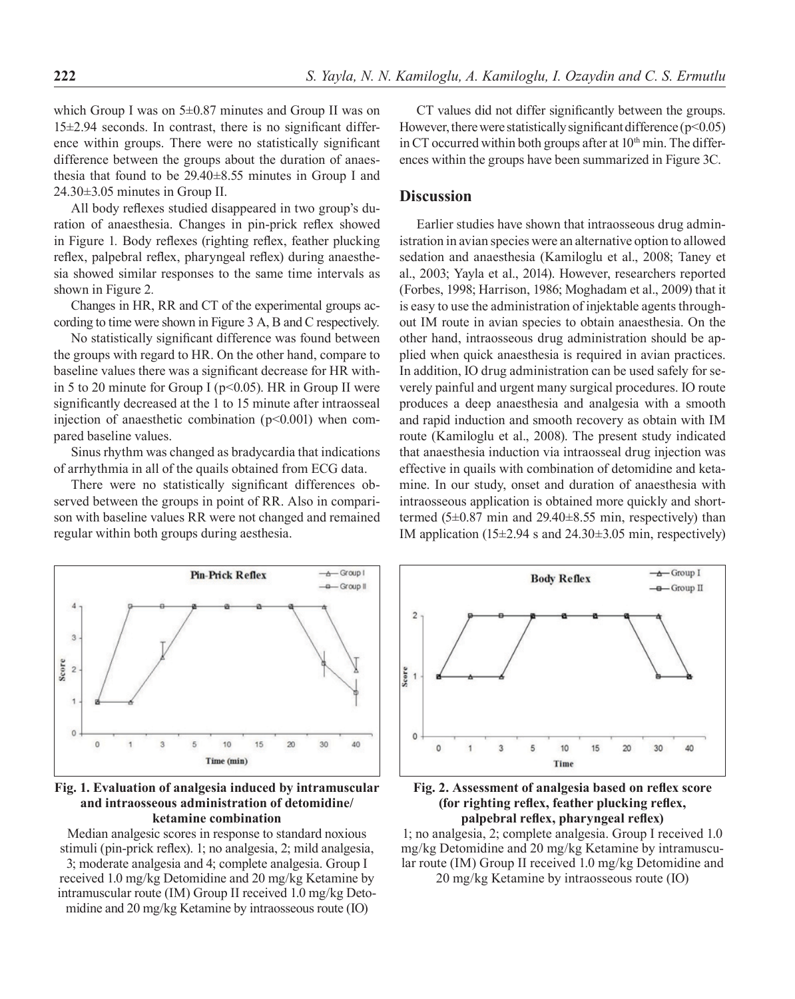which Group I was on 5±0.87 minutes and Group II was on 15±2.94 seconds. In contrast, there is no significant difference within groups. There were no statistically significant difference between the groups about the duration of anaesthesia that found to be 29.40±8.55 minutes in Group I and 24.30±3.05 minutes in Group II.

All body reflexes studied disappeared in two group's duration of anaesthesia. Changes in pin-prick reflex showed in Figure 1*.* Body reflexes (righting reflex, feather plucking reflex, palpebral reflex, pharyngeal reflex) during anaesthesia showed similar responses to the same time intervals as shown in Figure 2*.*

Changes in HR, RR and CT of the experimental groups according to time were shown in Figure 3 A, B and C respectively.

No statistically significant difference was found between the groups with regard to HR. On the other hand, compare to baseline values there was a significant decrease for HR within 5 to 20 minute for Group I ( $p$ <0.05). HR in Group II were significantly decreased at the 1 to 15 minute after intraosseal injection of anaesthetic combination  $(p<0.001)$  when compared baseline values.

Sinus rhythm was changed as bradycardia that indications of arrhythmia in all of the quails obtained from ECG data.

There were no statistically significant differences observed between the groups in point of RR. Also in comparison with baseline values RR were not changed and remained regular within both groups during aesthesia.

CT values did not differ significantly between the groups. However, there were statistically significant difference  $(p<0.05)$ in CT occurred within both groups after at  $10<sup>th</sup>$  min. The differences within the groups have been summarized in Figure 3C.

# **Discussion**

Earlier studies have shown that intraosseous drug administration in avian species were an alternative option to allowed sedation and anaesthesia (Kamiloglu et al., 2008; Taney et al., 2003; Yayla et al., 2014). However, researchers reported (Forbes, 1998; Harrison, 1986; Moghadam et al., 2009) that it is easy to use the administration of injektable agents throughout IM route in avian species to obtain anaesthesia. On the other hand, intraosseous drug administration should be applied when quick anaesthesia is required in avian practices. In addition, IO drug administration can be used safely for severely painful and urgent many surgical procedures. IO route produces a deep anaesthesia and analgesia with a smooth and rapid induction and smooth recovery as obtain with IM route (Kamiloglu et al., 2008). The present study indicated that anaesthesia induction via intraosseal drug injection was effective in quails with combination of detomidine and ketamine. In our study, onset and duration of anaesthesia with intraosseous application is obtained more quickly and shorttermed (5±0.87 min and 29.40±8.55 min, respectively) than IM application  $(15\pm2.94 \text{ s and } 24.30\pm3.05 \text{ min}, \text{respectively})$ 



**Fig. 1. Evaluation of analgesia induced by intramuscular and intraosseous administration of detomidine/ ketamine combination**

Median analgesic scores in response to standard noxious stimuli (pin-prick reflex). 1; no analgesia, 2; mild analgesia, 3; moderate analgesia and 4; complete analgesia. Group I received 1.0 mg/kg Detomidine and 20 mg/kg Ketamine by intramuscular route (IM) Group II received 1.0 mg/kg Detomidine and 20 mg/kg Ketamine by intraosseous route (IO)





1; no analgesia, 2; complete analgesia. Group I received 1.0 mg/kg Detomidine and 20 mg/kg Ketamine by intramuscular route (IM) Group II received 1.0 mg/kg Detomidine and

20 mg/kg Ketamine by intraosseous route (IO)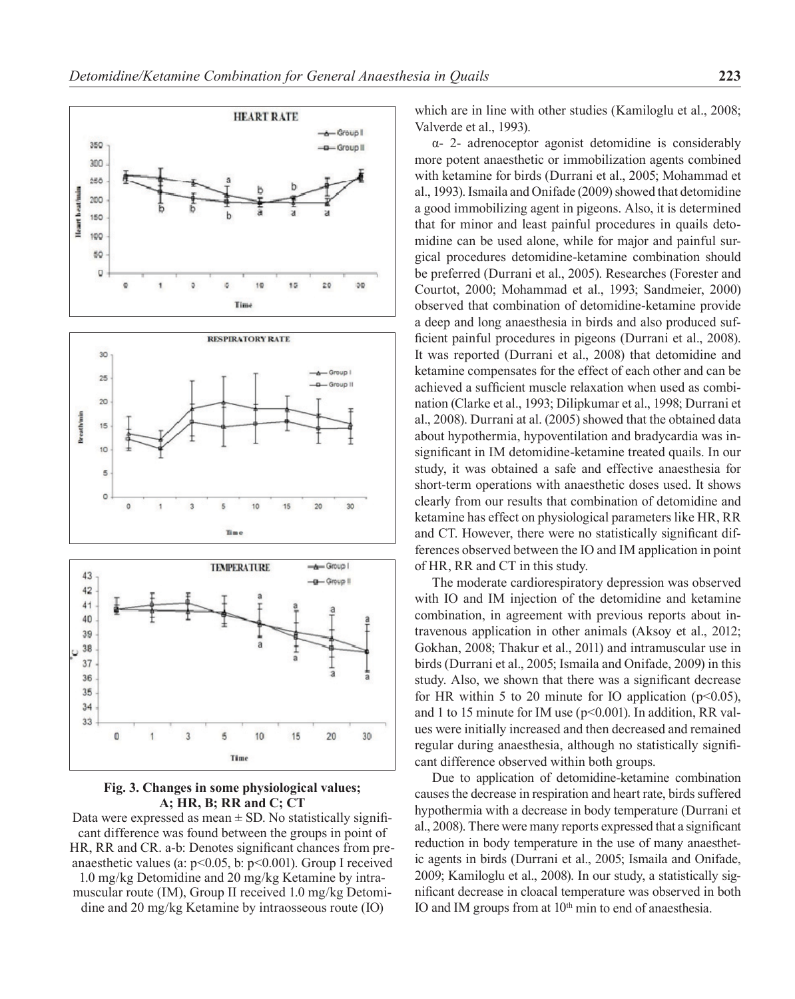

**Fig. 3. Changes in some physiological values; A; HR, B; RR and C; CT**

Data were expressed as mean  $\pm$  SD. No statistically significant difference was found between the groups in point of HR, RR and CR. a-b: Denotes significant chances from preanaesthetic values (a:  $p<0.05$ , b:  $p<0.001$ ). Group I received 1.0 mg/kg Detomidine and 20 mg/kg Ketamine by intramuscular route (IM), Group II received 1.0 mg/kg Detomidine and 20 mg/kg Ketamine by intraosseous route (IO)

which are in line with other studies (Kamiloglu et al., 2008; Valverde et al., 1993).

α- 2- adrenoceptor agonist detomidine is considerably more potent anaesthetic or immobilization agents combined with ketamine for birds (Durrani et al., 2005; Mohammad et al., 1993). Ismaila and Onifade (2009) showed that detomidine a good immobilizing agent in pigeons. Also, it is determined that for minor and least painful procedures in quails detomidine can be used alone, while for major and painful surgical procedures detomidine-ketamine combination should be preferred (Durrani et al., 2005). Researches (Forester and Courtot, 2000; Mohammad et al., 1993; Sandmeier, 2000) observed that combination of detomidine-ketamine provide a deep and long anaesthesia in birds and also produced sufficient painful procedures in pigeons (Durrani et al., 2008). It was reported (Durrani et al., 2008) that detomidine and ketamine compensates for the effect of each other and can be achieved a sufficient muscle relaxation when used as combination (Clarke et al., 1993; Dilipkumar et al., 1998; Durrani et al., 2008). Durrani at al. (2005) showed that the obtained data about hypothermia, hypoventilation and bradycardia was insignificant in IM detomidine-ketamine treated quails. In our study, it was obtained a safe and effective anaesthesia for short-term operations with anaesthetic doses used. It shows clearly from our results that combination of detomidine and ketamine has effect on physiological parameters like HR, RR and CT. However, there were no statistically significant differences observed between the IO and IM application in point of HR, RR and CT in this study.

The moderate cardiorespiratory depression was observed with IO and IM injection of the detomidine and ketamine combination, in agreement with previous reports about intravenous application in other animals (Aksoy et al., 2012; Gokhan, 2008; Thakur et al., 2011) and intramuscular use in birds (Durrani et al., 2005; Ismaila and Onifade, 2009) in this study. Also, we shown that there was a significant decrease for HR within 5 to 20 minute for IO application ( $p<0.05$ ), and 1 to 15 minute for IM use (p<0.001). In addition, RR values were initially increased and then decreased and remained regular during anaesthesia, although no statistically significant difference observed within both groups.

Due to application of detomidine-ketamine combination causes the decrease in respiration and heart rate, birds suffered hypothermia with a decrease in body temperature (Durrani et al., 2008). There were many reports expressed that a significant reduction in body temperature in the use of many anaesthetic agents in birds (Durrani et al., 2005; Ismaila and Onifade, 2009; Kamiloglu et al., 2008). In our study, a statistically significant decrease in cloacal temperature was observed in both IO and IM groups from at 10<sup>th</sup> min to end of anaesthesia.